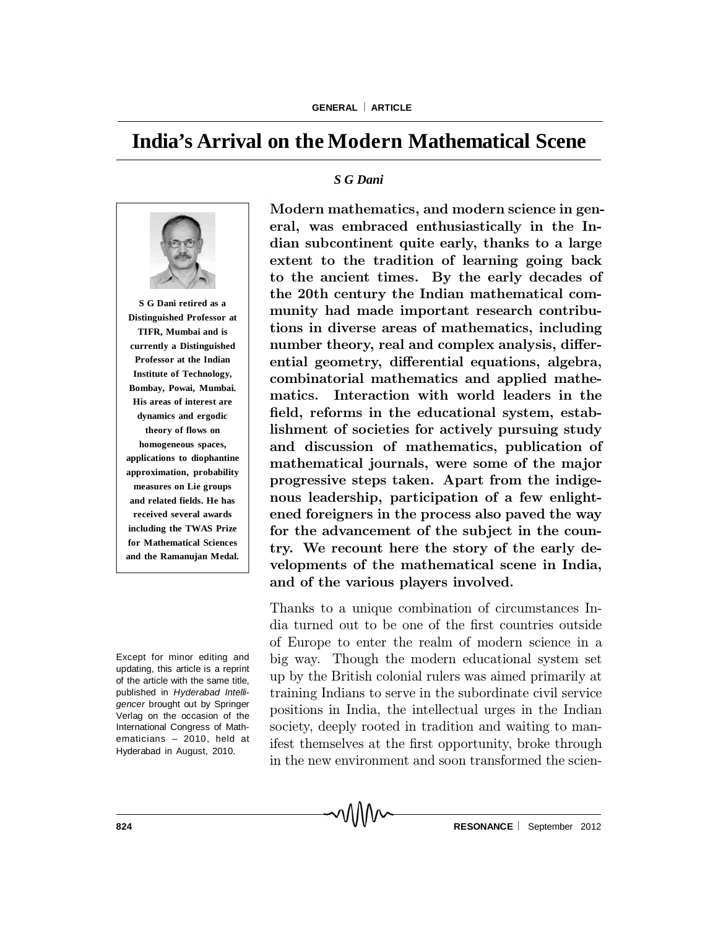## **India's Arrival on the Modern Mathematical Scene**

# *S G Dani*

Modern mathematics, and modern science in general, was embraced enthusiastically in the Indian subcontinent quite early, thanks to a large extent to the tradition of learning going back to the ancient times. By the early decades of the 20th century the Indian mathematical community had made important research contributions in diverse areas of mathematics, including number theory, real and complex analysis, differential geometry, differential equations, algebra, combinatorial mathematics and applied mathematics. Interaction with world leaders in the field, reforms in the educational system, establishment of societies for actively pursuing study and discussion of mathematics, publication of mathematical journals, were some of the major progressive steps taken. Apart from the indigenous leadership, participation of a few enlightened foreigners in the process also paved the way for the advancement of the subject in the country. We recount here the story of the early developments of the mathematical scene in India, and of the various players involved.

Thanks to a unique combination of circumstances India turned out to be one of the first countries outside of Europe to enter the realm of modern science in a big way. Though the modern educational system set up by the British colonial rulers was aimed primarily at training Indians to serve in the subordinate civil service positions in India, the intellectual urges in the Indian society, deeply rooted in tradition and waiting to manifest themselves at the first opportunity, broke through in the new environment and soon transformed the scien-

vWW~



**S G Dani retired as a Distinguished Professor at TIFR, Mumbai and is currently a Distinguished Professor at the Indian Institute of Technology, Bombay, Powai, Mumbai. His areas of interest are dynamics and ergodic theory of flows on homogeneous spaces, applications to diophantine approximation, probability measures on Lie groups and related fields. He has received several awards including the TWAS Prize for Mathematical Sciences and the Ramanujan Medal.**

Except for minor editing and updating, this article is a reprint of the article with the same title, published in *Hyderabad Intelligencer* brought out by Springer Verlag on the occasion of the International Congress of Mathematicians – 2010, held at Hyderabad in August, 2010.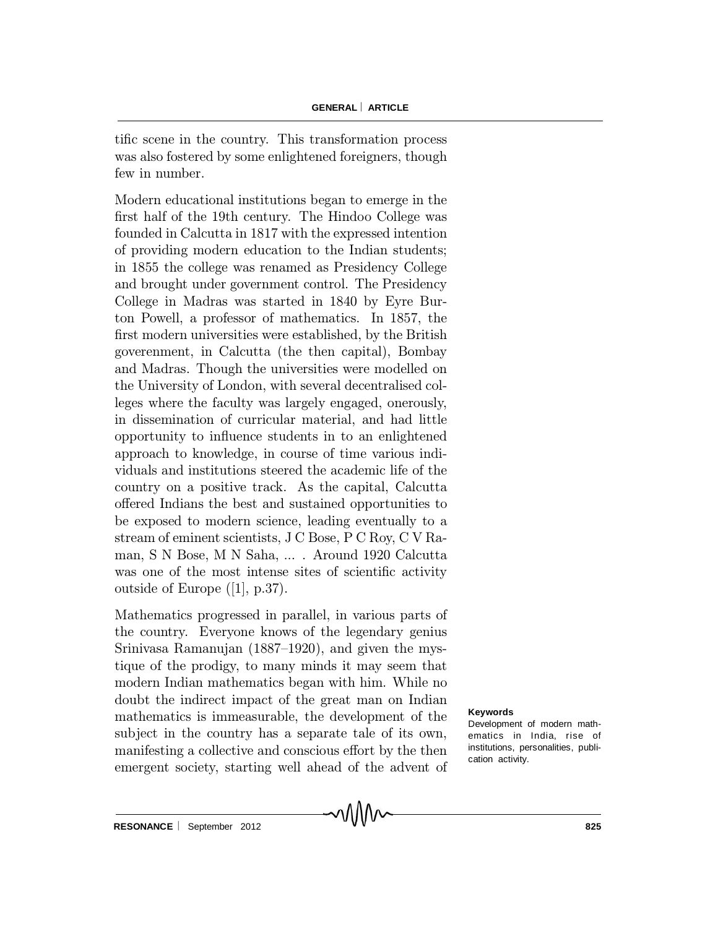tific scene in the country. This transformation process was also fostered by some enlightened foreigners, though few in number.

Modern educational institutions began to emerge in the first half of the 19th century. The Hindoo College was founded in Calcutta in 1817 with the expressed intention of providing modern education to the Indian students; in 1855 the college was renamed as Presidency College and brought under government control. The Presidency College in Madras was started in 1840 by Eyre Burton Powell, a professor of mathematics. In 1857, the first modern universities were established, by the British goverenment, in Calcutta (the then capital), Bombay and Madras. Though the universities were modelled on the University of London, with several decentralised colleges where the faculty was largely engaged, onerously, in dissemination of curricular material, and had little opportunity to influence students in to an enlightened approach to knowledge, in course of time various individuals and institutions steered the academic life of the country on a positive track. As the capital, Calcutta offered Indians the best and sustained opportunities to be exposed to modern science, leading eventually to a stream of eminent scientists, J C Bose, P C Roy, C V Raman, S N Bose, M N Saha, ... . Around 1920 Calcutta was one of the most intense sites of scientific activity outside of Europe ([1], p.37).

Mathematics progressed in parallel, in various parts of the country. Everyone knows of the legendary genius Srinivasa Ramanujan  $(1887-1920)$ , and given the mystique of the prodigy, to many minds it may seem that modern Indian mathematics began with him. While no doubt the indirect impact of the great man on Indian mathematics is immeasurable, the development of the subject in the country has a separate tale of its own, manifesting a collective and conscious effort by the then emergent society, starting well ahead of the advent of

**Keywords**

Development of modern mathematics in India, rise of institutions, personalities, publication activity.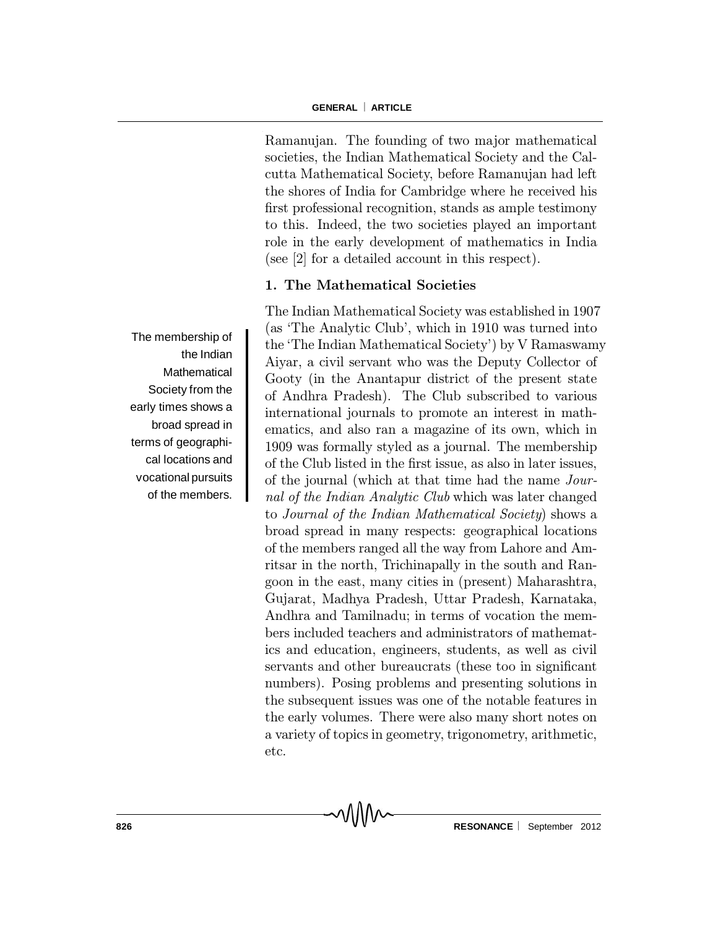Ramanujan. The founding of two major mathematical societies, the Indian Mathematical Society and the Calcutta Mathematical Society, before Ramanujan had left the shores of India for Cambridge where he received his first professional recognition, stands as ample testimony to this. Indeed, the two societies played an important role in the early development of mathematics in India (see [2] for a detailed account in this respect).

#### 1. The Mathematical Societies

MM

The Indian Mathematical Society was established in 1907 (as `The Analytic Club', which in 1910 was turned into the 'The Indian Mathematical Society') by V Ramaswamy Aiyar, a civil servant who was the Deputy Collector of Gooty (in the Anantapur district of the present state of Andhra Pradesh). The Club subscribed to various international journals to promote an interest in mathematics, and also ran a magazine of its own, which in 1909 was formally styled as a journal. The membership of the Club listed in the first issue, as also in later issues, of the journal (which at that time had the name Journal of the Indian Analytic Club which was later changed to Journal of the Indian Mathematical Society) shows a broad spread in many respects: geographical locations of the members ranged all the way from Lahore and Amritsar in the north, Trichinapally in the south and Rangoon in the east, many cities in (present) Maharashtra, Gujarat, Madhya Pradesh, Uttar Pradesh, Karnataka, Andhra and Tamilnadu; in terms of vocation the members included teachers and administrators of mathematics and education, engineers, students, as well as civil servants and other bureaucrats (these too in significant numbers). Posing problems and presenting solutions in the subsequent issues was one of the notable features in the early volumes. There were also many short notes on a variety of topics in geometry, trigonometry, arithmetic, etc.

The membership of the Indian **Mathematical** Society from the early times shows a broad spread in terms of geographical locations and vocational pursuits of the members.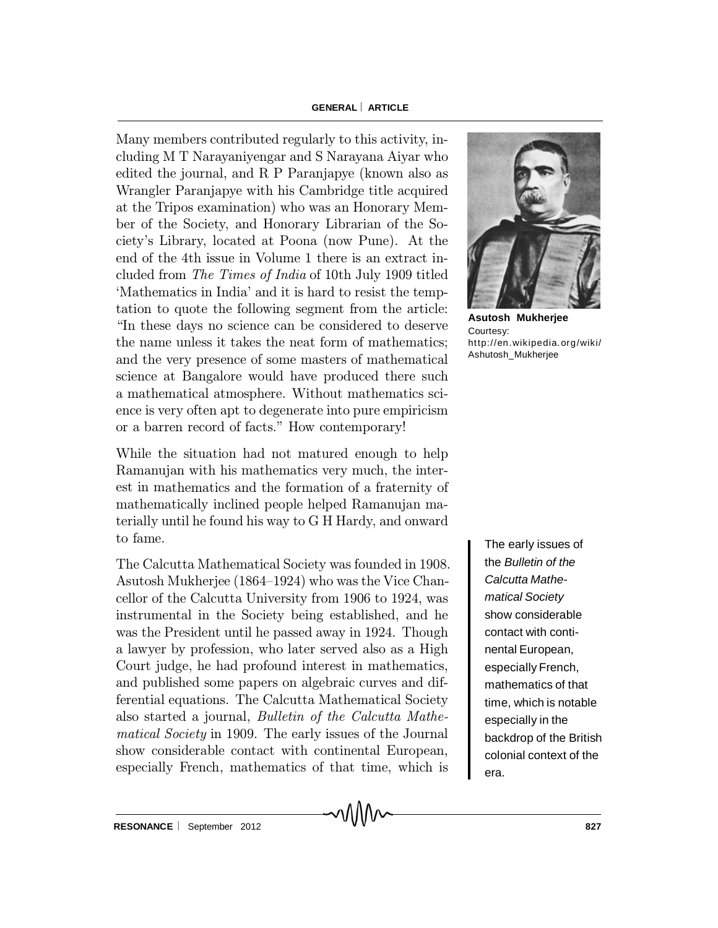Many members contributed regularly to this activity, including M T Narayaniyengar and S Narayana Aiyar who edited the journal, and R P Paranjapye (known also as Wrangler Paranjapye with his Cambridge title acquired at the Tripos examination) who was an Honorary Member of the Society, and Honorary Librarian of the Society's Library, located at Poona (now Pune). At the end of the 4th issue in Volume 1 there is an extract included from The Times of India of 10th July 1909 titled `Mathematics in India' and it is hard to resist the temptation to quote the following segment from the article: \In these days no science can be considered to deserve the name unless it takes the neat form of mathematics; and the very presence of some masters of mathematical science at Bangalore would have produced there such a mathematical atmosphere. Without mathematics science is very often apt to degenerate into pure empiricism or a barren record of facts." How contemporary!

While the situation had not matured enough to help Ramanujan with his mathematics very much, the interest in mathematics and the formation of a fraternity of mathematically inclined people helped Ramanujan materially until he found his way to G H Hardy, and onward to fame.

The Calcutta Mathematical Society was founded in 1908. Asutosh Mukherjee (1864–1924) who was the Vice Chancellor of the Calcutta University from 1906 to 1924, was instrumental in the Society being established, and he was the President until he passed away in 1924. Though a lawyer by profession, who later served also as a High Court judge, he had profound interest in mathematics, and published some papers on algebraic curves and differential equations. The Calcutta Mathematical Society also started a journal, Bulletin of the Calcutta Mathematical Society in 1909. The early issues of the Journal show considerable contact with continental European, especially French, mathematics of that time, which is



**Asutosh Mukherjee** Courtesy: http://en.wikipedia.org/wiki/ Ashutosh\_Mukherjee

The early issues of the *Bulletin of the Calcutta Mathematical Society* show considerable contact with continental European, especially French, mathematics of that time, which is notable especially in the backdrop of the British colonial context of the era.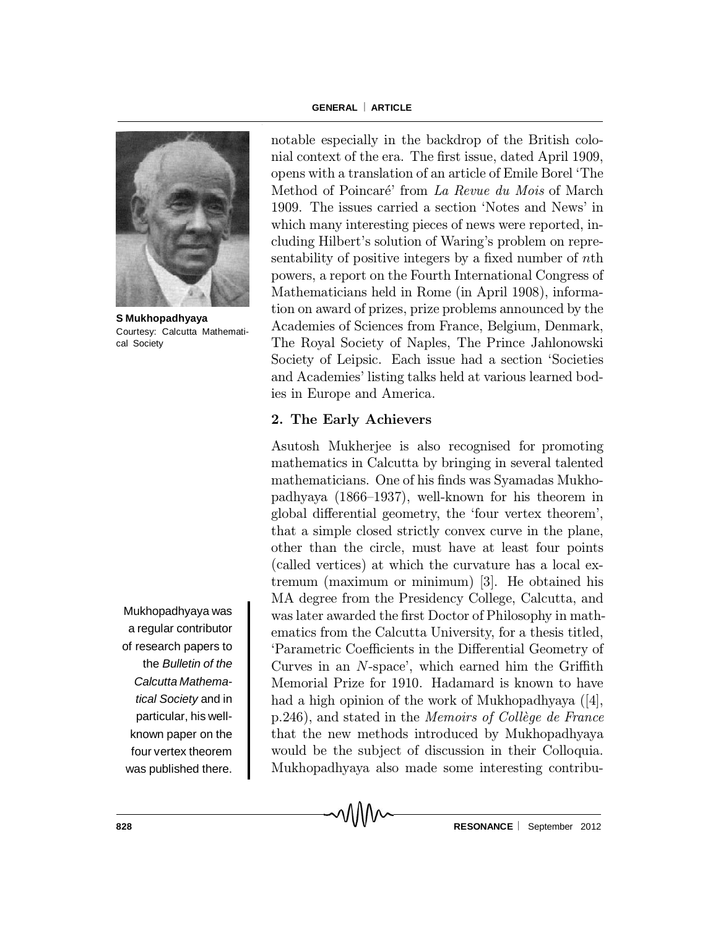

**S Mukhopadhyaya** Courtesy: Calcutta Mathematical Society

Mukhopadhyaya was a regular contributor of research papers to the *Bulletin of the Calcutta Mathematical Society* and in particular, his wellknown paper on the four vertex theorem was published there.

notable especially in the backdrop of the British colonial context of the era. The first issue, dated April 1909. opens with a translation of an article of Emile Borel `The Method of Poincaré' from La Revue du Mois of March 1909. The issues carried a section `Notes and News' in which many interesting pieces of news were reported, including Hilbert's solution of Waring's problem on representability of positive integers by a fixed number of  $nth$ powers, a report on the Fourth International Congress of Mathematicians held in Rome (in April 1908), information on award of prizes, prize problems announced by the Academies of Sciences from France, Belgium, Denmark, The Royal Society of Naples, The Prince Jahlonowski Society of Leipsic. Each issue had a section 'Societies and Academies' listing talks held at various learned bodies in Europe and America.

#### 2. The Early Achievers

៶∧∧∧∼

Asutosh Mukherjee is also recognised for promoting mathematics in Calcutta by bringing in several talented mathematicians. One of his finds was Syamadas Mukhopadhyaya  $(1866-1937)$ , well-known for his theorem in global differential geometry, the 'four vertex theorem', that a simple closed strictly convex curve in the plane, other than the circle, must have at least four points (called vertices) at which the curvature has a local extremum (maximum or minimum) [3]. He obtained his MA degree from the Presidency College, Calcutta, and was later awarded the first Doctor of Philosophy in mathematics from the Calcutta University, for a thesis titled, 'Parametric Coefficients in the Differential Geometry of Curves in an  $N$ -space', which earned him the Griffith Memorial Prize for 1910. Hadamard is known to have had a high opinion of the work of Mukhopadhyaya ([4],  $p.246$ , and stated in the *Memoirs of Collège de France* that the new methods introduced by Mukhopadhyaya would be the subject of discussion in their Colloquia. Mukhopadhyaya also made some interesting contribu-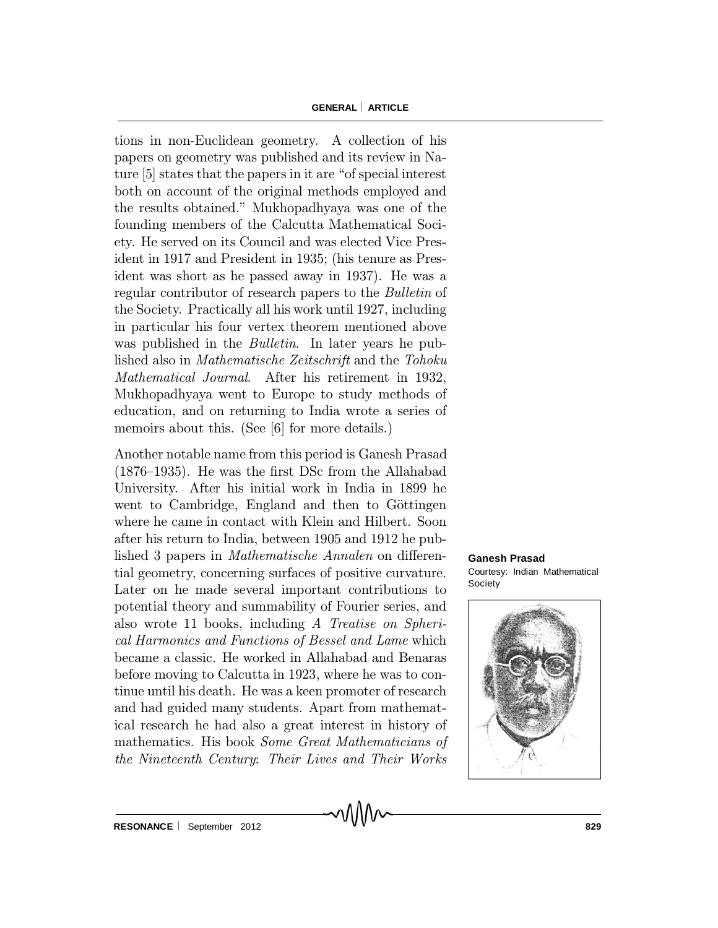tions in non-Euclidean geometry. A collection of his papers on geometry was published and its review in Nature  $[5]$  states that the papers in it are "of special interest" both on account of the original methods employed and the results obtained." Mukhopadhyaya was one of the founding members of the Calcutta Mathematical Society. He served on its Council and was elected Vice President in 1917 and President in 1935; (his tenure as President was short as he passed away in 1937). He was a regular contributor of research papers to the Bulletin of the Society. Practically all his work until 1927, including in particular his four vertex theorem mentioned above was published in the *Bulletin*. In later years he published also in Mathematische Zeitschrift and the Tohoku Mathematical Journal. After his retirement in 1932, Mukhopadhyaya went to Europe to study methods of education, and on returning to India wrote a series of memoirs about this. (See [6] for more details.)

Another notable name from this period is Ganesh Prasad (1876-1935). He was the first DSc from the Allahabad University. After his initial work in India in 1899 he went to Cambridge, England and then to Göttingen where he came in contact with Klein and Hilbert. Soon after his return to India, between 1905 and 1912 he published 3 papers in *Mathematische Annalen* on differential geometry, concerning surfaces of positive curvature. Later on he made several important contributions to potential theory and summability of Fourier series, and also wrote 11 books, including A Treatise on Spherical Harmonics and Functions of Bessel and Lame which became a classic. He worked in Allahabad and Benaras before moving to Calcutta in 1923, where he was to continue until his death. He was a keen promoter of research and had guided many students. Apart from mathematical research he had also a great interest in history of mathematics. His book Some Great Mathematicians of the Nineteenth Century: Their Lives and Their Works

VWV

**Ganesh Prasad** Courtesy: Indian Mathematical Society

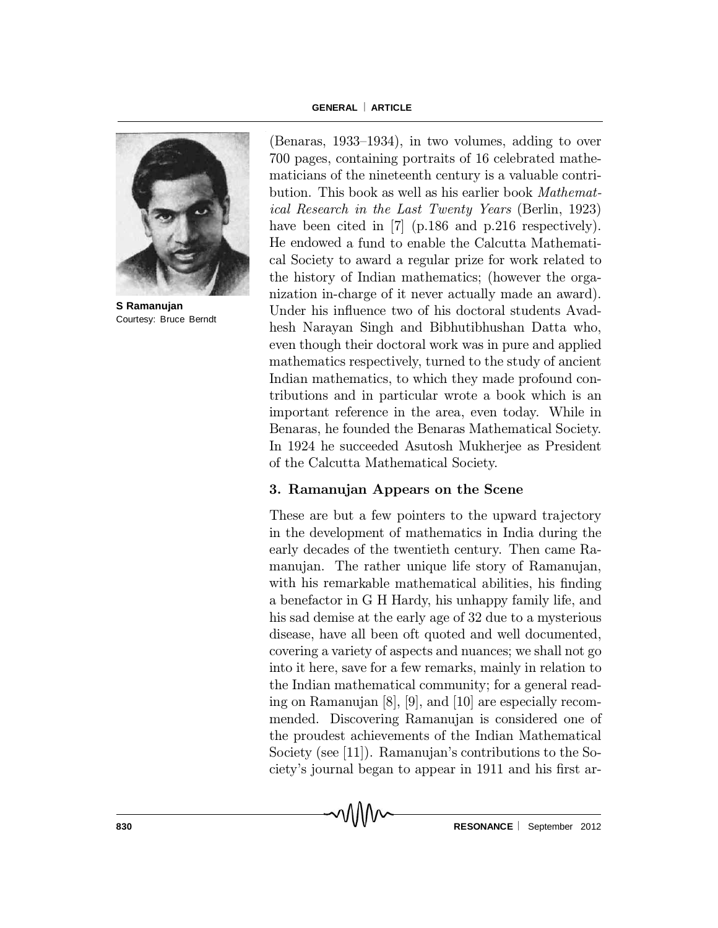

**S Ramanujan** Courtesy: Bruce Berndt

 $(Benaras, 1933-1934)$ , in two volumes, adding to over 700 pages, containing portraits of 16 celebrated mathematicians of the nineteenth century is a valuable contribution. This book as well as his earlier book Mathematical Research in the Last Twenty Years (Berlin, 1923) have been cited in [7] (p.186 and p.216 respectively). He endowed a fund to enable the Calcutta Mathematical Society to award a regular prize for work related to the history of Indian mathematics; (however the organization in-charge of it never actually made an award). Under his influence two of his doctoral students Avadhesh Narayan Singh and Bibhutibhushan Datta who, even though their doctoral work was in pure and applied mathematics respectively, turned to the study of ancient Indian mathematics, to which they made profound contributions and in particular wrote a book which is an important reference in the area, even today. While in Benaras, he founded the Benaras Mathematical Society. In 1924 he succeeded Asutosh Mukherjee as President of the Calcutta Mathematical Society.

### 3. Ramanujan Appears on the Scene

៶៱៱៱

These are but a few pointers to the upward trajectory in the development of mathematics in India during the early decades of the twentieth century. Then came Ramanujan. The rather unique life story of Ramanujan, with his remarkable mathematical abilities, his finding a benefactor in G H Hardy, his unhappy family life, and his sad demise at the early age of 32 due to a mysterious disease, have all been oft quoted and well documented, covering a variety of aspects and nuances; we shall not go into it here, save for a few remarks, mainly in relation to the Indian mathematical community; for a general reading on Ramanujan [8], [9], and [10] are especially recommended. Discovering Ramanujan is considered one of the proudest achievements of the Indian Mathematical Society (see [11]). Ramanujan's contributions to the Society's journal began to appear in 1911 and his first ar-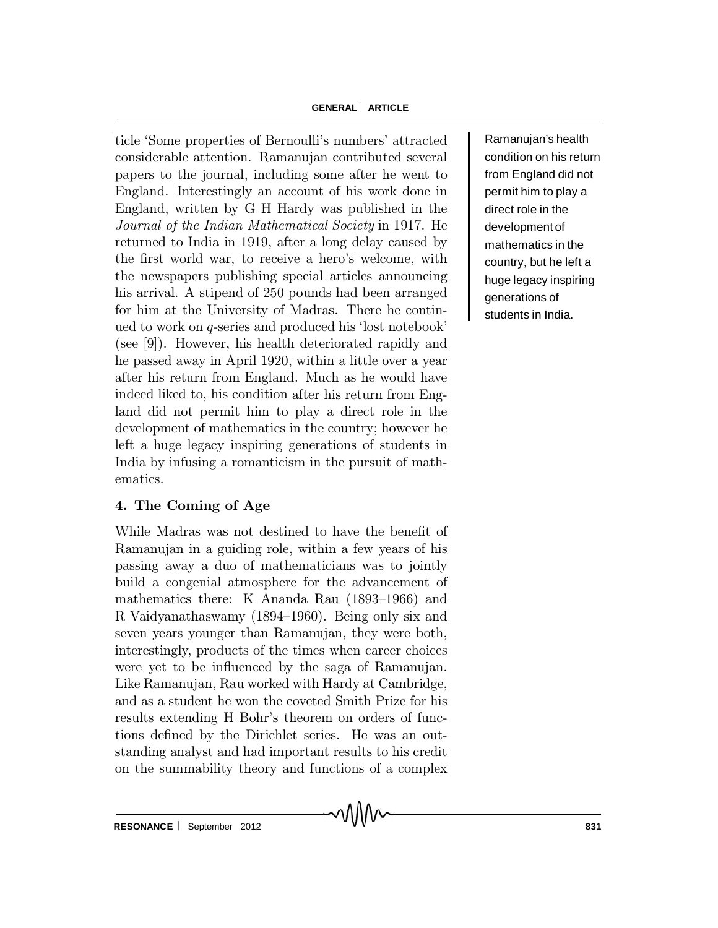ticle `Some properties of Bernoulli's numbers' attracted considerable attention. Ramanujan contributed several papers to the journal, including some after he went to England. Interestingly an account of his work done in England, written by G H Hardy was published in the Journal of the Indian Mathematical Society in 1917. He returned to India in 1919, after a long delay caused by the first world war, to receive a hero's welcome, with the newspapers publishing special articles announcing his arrival. A stipend of 250 pounds had been arranged for him at the University of Madras. There he continued to work on q-series and produced his `lost notebook' (see [9]). However, his health deteriorated rapidly and he passed away in April 1920, within a little over a year after his return from England. Much as he would have indeed liked to, his condition after his return from England did not permit him to play a direct role in the development of mathematics in the country; however he left a huge legacy inspiring generations of students in India by infusing a romanticism in the pursuit of mathematics.

## 4. The Coming of Age

While Madras was not destined to have the benefit of Ramanujan in a guiding role, within a few years of his passing away a duo of mathematicians was to jointly build a congenial atmosphere for the advancement of mathematics there: K Ananda Rau  $(1893-1966)$  and R Vaidyanathaswamy  $(1894-1960)$ . Being only six and seven years younger than Ramanujan, they were both, interestingly, products of the times when career choices were yet to be influenced by the saga of Ramanujan. Like Ramanujan, Rau worked with Hardy at Cambridge, and as a student he won the coveted Smith Prize for his results extending H Bohr's theorem on orders of functions defined by the Dirichlet series. He was an outstanding analyst and had important results to his credit on the summability theory and functions of a complex

Ramanujan's health condition on his return from England did not permit him to play a direct role in the development of mathematics in the country, but he left a huge legacy inspiring generations of students in India.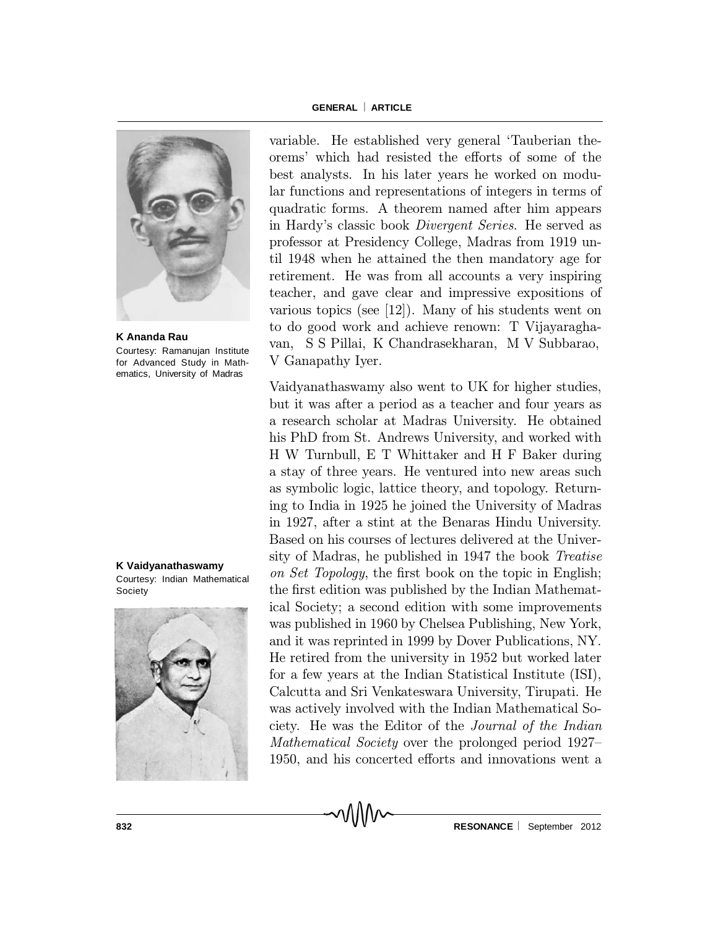

**K Ananda Rau** Courtesy: Ramanujan Institute for Advanced Study in Mathematics, University of Madras

**K Vaidyanathaswamy** Courtesy: Indian Mathematical Society



variable. He established very general 'Tauberian theorems' which had resisted the efforts of some of the best analysts. In his later years he worked on modular functions and representations of integers in terms of quadratic forms. A theorem named after him appears in Hardy's classic book Divergent Series. He served as professor at Presidency College, Madras from 1919 until 1948 when he attained the then mandatory age for retirement. He was from all accounts a very inspiring teacher, and gave clear and impressive expositions of various topics (see [12]). Many of his students went on to do good work and achieve renown: T Vijayaraghavan, S S Pillai, K Chandrasekharan, M V Subbarao, V Ganapathy Iyer.

Vaidyanathaswamy also went to UK for higher studies, but it was after a period as a teacher and four years as a research scholar at Madras University. He obtained his PhD from St. Andrews University, and worked with H W Turnbull, E T Whittaker and H F Baker during a stay of three years. He ventured into new areas such as symbolic logic, lattice theory, and topology. Returning to India in 1925 he joined the University of Madras in 1927, after a stint at the Benaras Hindu University. Based on his courses of lectures delivered at the University of Madras, he published in 1947 the book Treatise on Set Topology, the first book on the topic in English; the first edition was published by the Indian Mathematical Society; a second edition with some improvements was published in 1960 by Chelsea Publishing, New York, and it was reprinted in 1999 by Dover Publications, NY. He retired from the university in 1952 but worked later for a few years at the Indian Statistical Institute (ISI), Calcutta and Sri Venkateswara University, Tirupati. He was actively involved with the Indian Mathematical Society. He was the Editor of the Journal of the Indian Mathematical Society over the prolonged period 1927– 1950, and his concerted efforts and innovations went a

MW∨

**832 RESONANCE** │ September 2012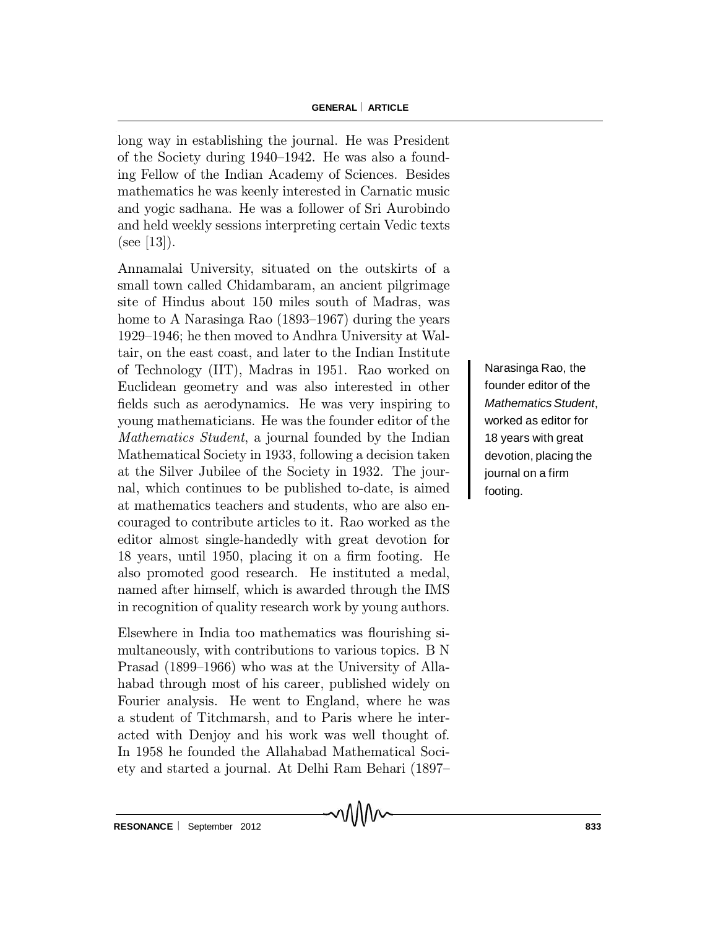long way in establishing the journal. He was President of the Society during  $1940-1942$ . He was also a founding Fellow of the Indian Academy of Sciences. Besides mathematics he was keenly interested in Carnatic music and yogic sadhana. He was a follower of Sri Aurobindo and held weekly sessions interpreting certain Vedic texts  $(see [13]).$ 

Annamalai University, situated on the outskirts of a small town called Chidambaram, an ancient pilgrimage site of Hindus about 150 miles south of Madras, was home to A Narasinga Rao  $(1893-1967)$  during the years 1929-1946; he then moved to Andhra University at Waltair, on the east coast, and later to the Indian Institute of Technology (IIT), Madras in 1951. Rao worked on Euclidean geometry and was also interested in other fields such as aerodynamics. He was very inspiring to young mathematicians. He was the founder editor of the Mathematics Student, a journal founded by the Indian Mathematical Society in 1933, following a decision taken at the Silver Jubilee of the Society in 1932. The journal, which continues to be published to-date, is aimed at mathematics teachers and students, who are also encouraged to contribute articles to it. Rao worked as the editor almost single-handedly with great devotion for 18 years, until 1950, placing it on a firm footing. He also promoted good research. He instituted a medal, named after himself, which is awarded through the IMS in recognition of quality research work by young authors.

Elsewhere in India too mathematics was flourishing simultaneously, with contributions to various topics. B N Prasad (1899–1966) who was at the University of Allahabad through most of his career, published widely on Fourier analysis. He went to England, where he was a student of Titchmarsh, and to Paris where he interacted with Denjoy and his work was well thought of. In 1958 he founded the Allahabad Mathematical Society and started a journal. At Delhi Ram Behari (1897–

Narasinga Rao, the founder editor of the *Mathematics Student*, worked as editor for 18 years with great devotion, placing the journal on a firm footing.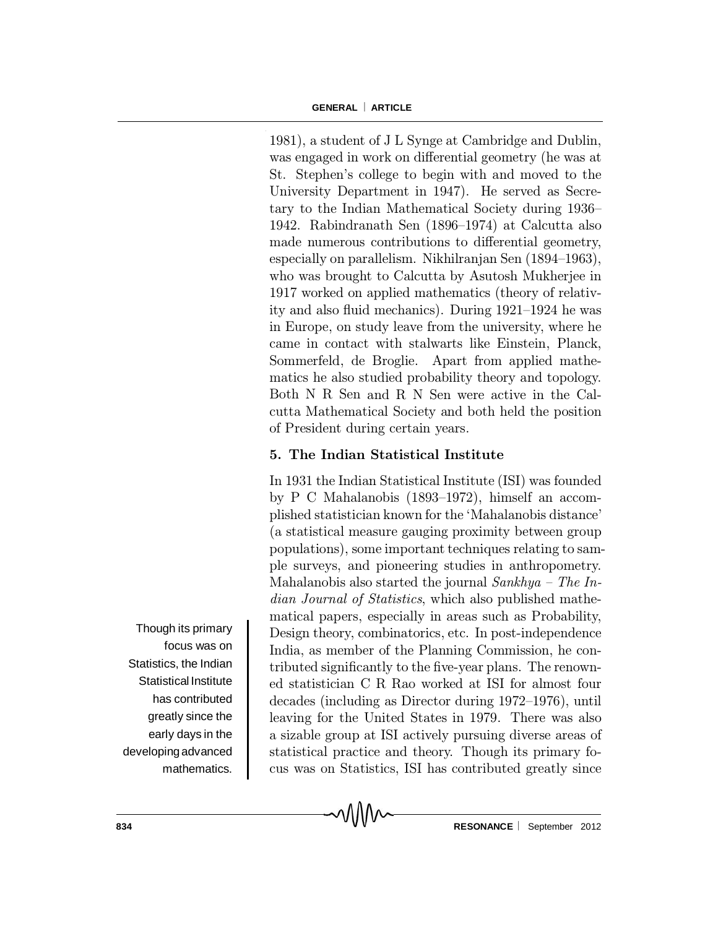1981), a student of J L Synge at Cambridge and Dublin, was engaged in work on differential geometry (he was at St. Stephen's college to begin with and moved to the University Department in 1947). He served as Secretary to the Indian Mathematical Society during 1936– 1942. Rabindranath Sen (1896–1974) at Calcutta also made numerous contributions to differential geometry, especially on parallelism. Nikhilranjan Sen  $(1894-1963)$ , who was brought to Calcutta by Asutosh Mukherjee in 1917 worked on applied mathematics (theory of relativity and also fluid mechanics). During  $1921-1924$  he was in Europe, on study leave from the university, where he came in contact with stalwarts like Einstein, Planck, Sommerfeld, de Broglie. Apart from applied mathematics he also studied probability theory and topology. Both N R Sen and R N Sen were active in the Calcutta Mathematical Society and both held the position of President during certain years.

#### 5. The Indian Statistical Institute

MM

In 1931 the Indian Statistical Institute (ISI) was founded by P C Mahalanobis  $(1893-1972)$ , himself an accomplished statistician known for the `Mahalanobis distance' (a statistical measure gauging proximity between group populations), some important techniques relating to sample surveys, and pioneering studies in anthropometry. Mahalanobis also started the journal  $Sankhya$  - The Indian Journal of Statistics, which also published mathematical papers, especially in areas such as Probability, Design theory, combinatorics, etc. In post-independence India, as member of the Planning Commission, he contributed significantly to the five-year plans. The renowned statisticianCR Rao worked at ISI for almost four decades (including as Director during  $1972{\text -}1976$ ), until leaving for the United States in 1979. There was also a sizable group at ISI actively pursuing diverse areas of statistical practice and theory. Though its primary focus was on Statistics, ISI has contributed greatly since

Though its primary focus was on Statistics, the Indian Statistical Institute has contributed greatly since the early days in the developing advanced mathematics.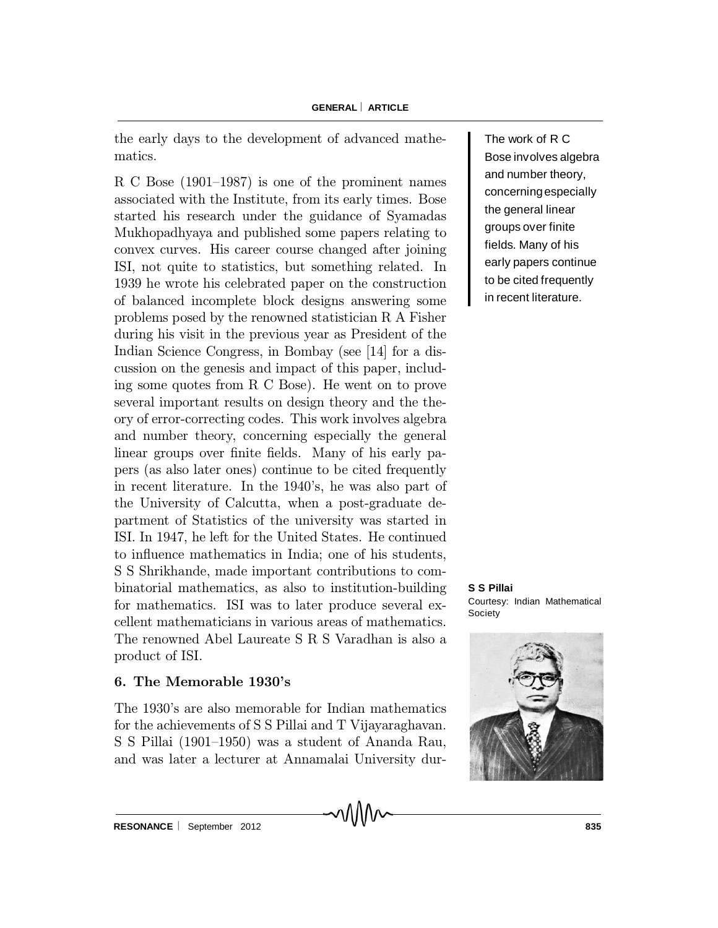the early days to the development of advanced mathematics.

R C Bose  $(1901-1987)$  is one of the prominent names associated with the Institute, from its early times. Bose started his research under the guidance of Syamadas Mukhopadhyaya and published some papers relating to convex curves. His career course changed after joining ISI, not quite to statistics, but something related. In 1939 he wrote his celebrated paper on the construction of balanced incomplete block designs answering some problems posed by the renowned statistician R A Fisher during his visit in the previous year as President of the Indian Science Congress, in Bombay (see [14] for a discussion on the genesis and impact of this paper, including some quotes from R C Bose). He went on to prove several important results on design theory and the theory of error-correcting codes. This work involves algebra and number theory, concerning especially the general linear groups over finite fields. Many of his early papers (as also later ones) continue to be cited frequently in recent literature. In the 1940's, he was also part of the University of Calcutta, when a post-graduate department of Statistics of the university was started in ISI. In 1947, he left for the United States. He continued to influence mathematics in India; one of his students, S S Shrikhande, made important contributions to combinatorial mathematics, as also to institution-building for mathematics. ISI was to later produce several excellent mathematicians in various areas of mathematics. The renowned Abel Laureate S R S Varadhan is also a product of ISI.

#### 6. The Memorable 1930's

The 1930's are also memorable for Indian mathematics for the achievements of S S Pillai and T Vijayaraghavan. S S Pillai (1901–1950) was a student of Ananda Rau, and was later a lecturer at Annamalai University dur-

VWV

The work of R C Bose involves algebra and number theory, concerning especially the general linear groups over finite fields. Many of his early papers continue to be cited frequently in recent literature.

**S S Pillai** Courtesy: Indian Mathematical Society

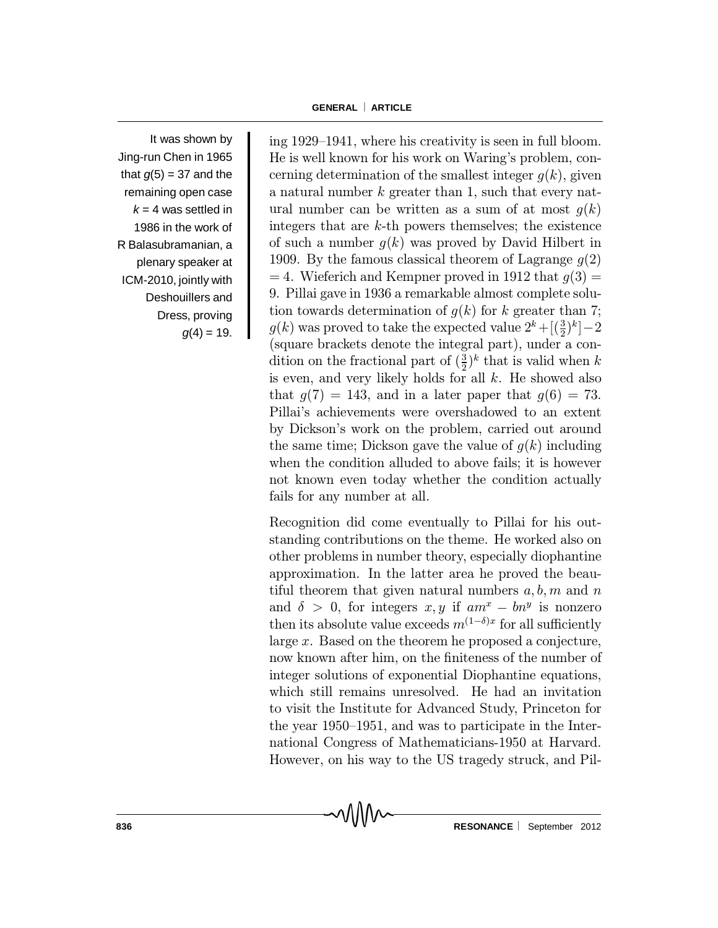It was shown by Jing-run Chen in 1965 that  $g(5) = 37$  and the remaining open case  $k = 4$  was settled in 1986 in the work of R Balasubramanian, a plenary speaker at ICM-2010, jointly with Deshouillers and Dress, proving  $g(4) = 19$ . ing 1929-1941, where his creativity is seen in full bloom. He is well known for his work on Waring's problem, concerning determination of the smallest integer  $q(k)$ , given a natural number  $k$  greater than 1, such that every natural number can be written as a sum of at most  $q(k)$ integers that are  $k$ -th powers themselves; the existence of such a number  $g(k)$  was proved by David Hilbert in 1909. By the famous classical theorem of Lagrange  $q(2)$  $= 4.$  Wieferich and Kempner proved in 1912 that  $g(3) =$ 9. Pillai gave in 1936 a remarkable almost complete solution towards determination of  $g(k)$  for k greater than 7;  $g(k)$  was proved to take the expected value  $2^k + \left[\left(\frac{3}{2}\right)^k\right] - 2$ (square brackets denote the integral part), under a condition on the fractional part of  $(\frac{3}{2})^k$  that is valid when k is even, and very likely holds for all  $k$ . He showed also that  $g(7) = 143$ , and in a later paper that  $g(6) = 73$ . Pillai's achievements were overshadowed to an extent by Dickson's work on the problem, carried out around the same time; Dickson gave the value of  $g(k)$  including when the condition alluded to above fails; it is however not known even today whether the condition actually fails for any number at all.

Recognition did come eventually to Pillai for his outstanding contributions on the theme. He worked also on other problems in number theory, especially diophantine approximation. In the latter area he proved the beautiful theorem that given natural numbers  $a, b, m$  and n and  $\delta > 0$ , for integers x, y if am<sup>x</sup> – bn<sup>y</sup> is nonzero then its absolute value exceeds  $m^{(1-\delta)x}$  for all sufficiently large x. Based on the theorem he proposed a conjecture, now known after him, on the finiteness of the number of integer solutions of exponential Diophantine equations, which still remains unresolved. He had an invitation to visit the Institute for Advanced Study, Princeton for the year  $1950-1951$ , and was to participate in the International Congress of Mathematicians-1950 at Harvard. However, on his way to the US tragedy struck, and Pil-

᠕᠕᠕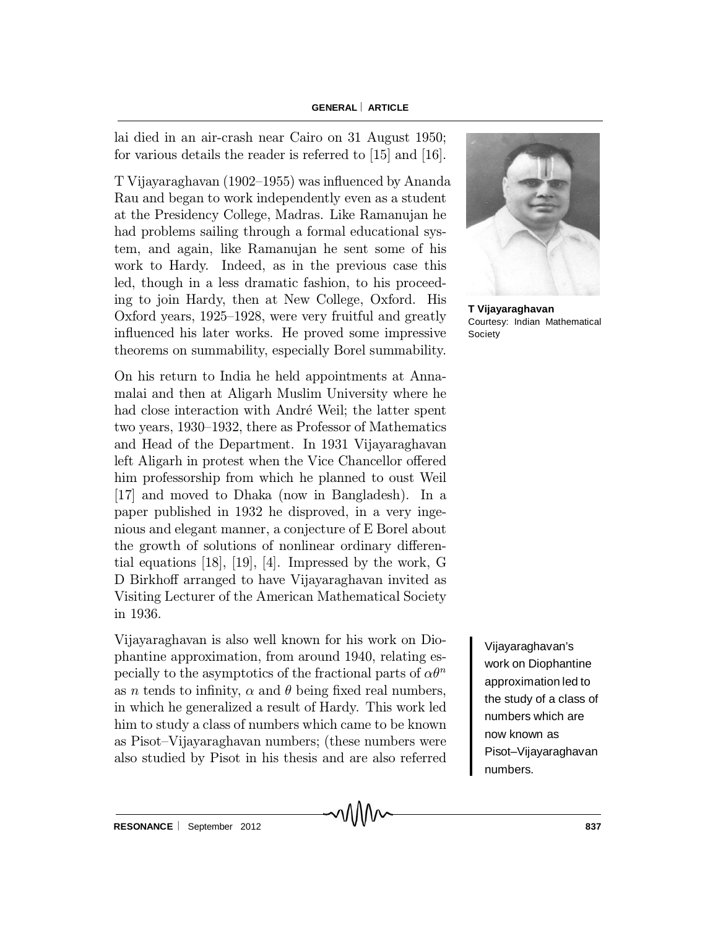lai died in an air-crash near Cairo on 31 August 1950; for various details the reader is referred to [15] and [16].

T Vijayaraghavan (1902–1955) was influenced by Ananda Rau and began to work independently even as a student at the Presidency College, Madras. Like Ramanujan he had problems sailing through a formal educational system, and again, like Ramanujan he sent some of his work to Hardy. Indeed, as in the previous case this led, though in a less dramatic fashion, to his proceeding to join Hardy, then at New College, Oxford. His Oxford years,  $1925-1928$ , were very fruitful and greatly influenced his later works. He proved some impressive theorems on summability, especially Borel summability.

On his return to India he held appointments at Annamalai and then at Aligarh Muslim University where he had close interaction with André Weil; the latter spent two years, 1930–1932, there as Professor of Mathematics and Head of the Department. In 1931 Vijayaraghavan left Aligarh in protest when the Vice Chancellor offered him professorship from which he planned to oust Weil [17] and moved to Dhaka (now in Bangladesh). In a paper published in 1932 he disproved, in a very ingenious and elegant manner, a conjecture of E Borel about the growth of solutions of nonlinear ordinary differential equations [18], [19], [4]. Impressed by the work, G D Birkhoff arranged to have Vijayaraghavan invited as Visiting Lecturer of the American Mathematical Society in 1936.

Vijayaraghavan is also well known for his work on Diophantine approximation, from around 1940, relating especially to the asymptotics of the fractional parts of  $\alpha\theta^n$ as *n* tends to infinity,  $\alpha$  and  $\theta$  being fixed real numbers, in which he generalized a result of Hardy. This work led him to study a class of numbers which came to be known as Pisot-Vijayaraghavan numbers; (these numbers were also studied by Pisot in his thesis and are also referred

VWV



**T Vijayaraghavan** Courtesy: Indian Mathematical Society

Vijayaraghavan's work on Diophantine approximation led to the study of a class of numbers which are now known as Pisot–Vijayaraghavan numbers.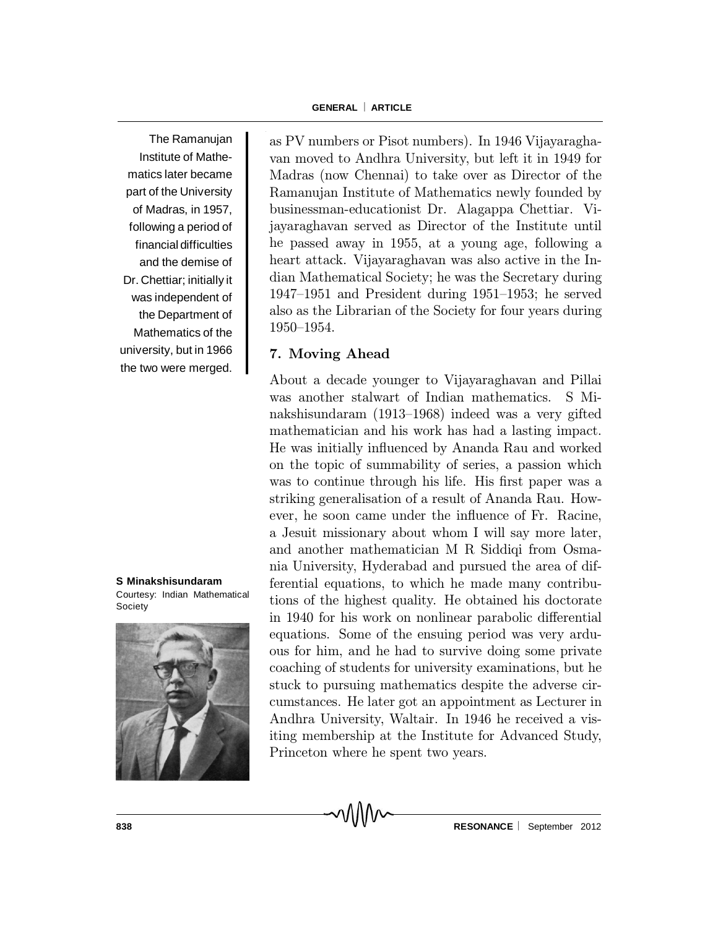The Ramanujan Institute of Mathematics later became part of the University of Madras, in 1957, following a period of financial difficulties and the demise of Dr. Chettiar; initially it was independent of the Department of Mathematics of the university, but in 1966 the two were merged.

**S Minakshisundaram** Courtesy: Indian Mathematical Society



as PV numbers or Pisot numbers). In 1946 Vijayaraghavan moved to Andhra University, but left it in 1949 for Madras (now Chennai) to take over as Director of the Ramanujan Institute of Mathematics newly founded by businessman-educationist Dr. Alagappa Chettiar. Vijayaraghavan served as Director of the Institute until he passed away in 1955, at a young age, following a heart attack. Vijayaraghavan was also active in the Indian Mathematical Society; he was the Secretary during  $1947{\text -}1951$  and President during  $1951{\text -}1953$ ; he served also as the Librarian of the Society for four years during 1950-1954.

## 7. Moving Ahead

About a decade younger to Vijayaraghavan and Pillai was another stalwart of Indian mathematics. S Minakshisundaram (1913–1968) indeed was a very gifted mathematician and his work has had a lasting impact. He was initially influenced by Ananda Rau and worked on the topic of summability of series, a passion which was to continue through his life. His first paper was a striking generalisation of a result of Ananda Rau. However, he soon came under the influence of Fr. Racine, a Jesuit missionary about whom I will say more later, and another mathematician M R Siddiqi from Osmania University, Hyderabad and pursued the area of differential equations, to which he made many contributions of the highest quality. He obtained his doctorate in 1940 for his work on nonlinear parabolic differential equations. Some of the ensuing period was very arduous for him, and he had to survive doing some private coaching of students for university examinations, but he stuck to pursuing mathematics despite the adverse circumstances. He later got an appointment as Lecturer in Andhra University, Waltair. In 1946 he received a visiting membership at the Institute for Advanced Study, Princeton where he spent two years.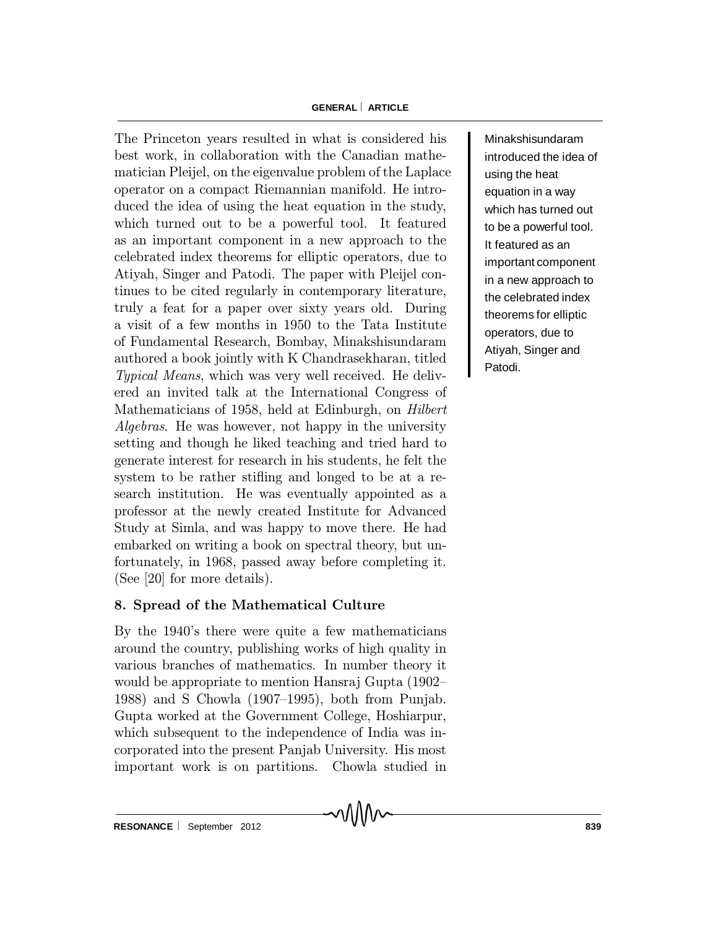The Princeton years resulted in what is considered his best work, in collaboration with the Canadian mathematician Pleijel, on the eigenvalue problem of the Laplace operator on a compact Riemannian manifold. He introduced the idea of using the heat equation in the study, which turned out to be a powerful tool. It featured as an important component in a new approach to the celebrated index theorems for elliptic operators, due to Atiyah, Singer and Patodi. The paper with Pleijel continues to be cited regularly in contemporary literature, truly a feat for a paper over sixty years old. During a visit of a few months in 1950 to the Tata Institute of Fundamental Research, Bombay, Minakshisundaram authored a book jointly with K Chandrasekharan, titled Typical Means, which was very well received. He delivered an invited talk at the International Congress of Mathematicians of 1958, held at Edinburgh, on *Hilbert* Algebras. He was however, not happy in the university setting and though he liked teaching and tried hard to generate interest for research in his students, he felt the system to be rather stifling and longed to be at a research institution. He was eventually appointed as a professor at the newly created Institute for Advanced Study at Simla, and was happy to move there. He had embarked on writing a book on spectral theory, but unfortunately, in 1968, passed away before completing it. (See [20] for more details).

## 8. Spread of the Mathematical Culture

By the 1940's there were quite a few mathematicians around the country, publishing works of high quality in various branches of mathematics. In number theory it would be appropriate to mention Hansraj Gupta (1902– 1988) and S Chowla  $(1907-1995)$ , both from Punjab. Gupta worked at the Government College, Hoshiarpur, which subsequent to the independence of India was incorporated into the present Panjab University. His most important work is on partitions. Chowla studied in Minakshisundaram introduced the idea of using the heat equation in a way which has turned out to be a powerful tool. It featured as an important component in a new approach to the celebrated index theorems for elliptic operators, due to Atiyah, Singer and Patodi.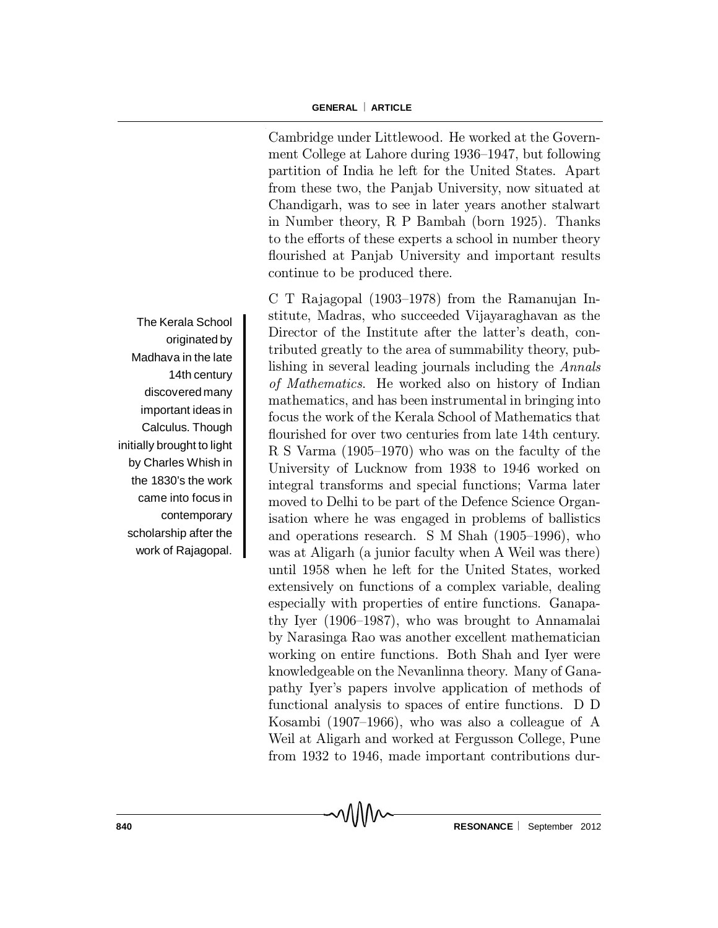Cambridge under Littlewood. He worked at the Government College at Lahore during 1936–1947, but following partition of India he left for the United States. Apart from these two, the Panjab University, now situated at Chandigarh, was to see in later years another stalwart in Number theory, R P Bambah (born 1925). Thanks to the efforts of these experts a school in number theory flourished at Panjab University and important results continue to be produced there.

C T Rajagopal  $(1903-1978)$  from the Ramanujan Institute, Madras, who succeeded Vijayaraghavan as the Director of the Institute after the latter's death, contributed greatly to the area of summability theory, publishing in several leading journals including the Annals of Mathematics. He worked also on history of Indian mathematics, and has been instrumental in bringing into focus the work of the Kerala School of Mathematics that flourished for over two centuries from late 14th century. R S Varma  $(1905{-}1970)$  who was on the faculty of the University of Lucknow from 1938 to 1946 worked on integral transforms and special functions; Varma later moved to Delhi to be part of the Defence Science Organisation where he was engaged in problems of ballistics and operations research. S  $M$  Shah (1905–1996), who was at Aligarh (a junior faculty when A Weil was there) until 1958 when he left for the United States, worked extensively on functions of a complex variable, dealing especially with properties of entire functions. Ganapathy Iyer  $(1906-1987)$ , who was brought to Annamalai by Narasinga Rao was another excellent mathematician working on entire functions. Both Shah and Iyer were knowledgeable on the Nevanlinna theory. Many of Ganapathy Iyer's papers involve application of methods of functional analysis to spaces of entire functions. D D Kosambi (1907–1966), who was also a colleague of A Weil at Aligarh and worked at Fergusson College, Pune from 1932 to 1946, made important contributions dur-

The Kerala School originated by Madhava in the late 14th century discoveredmany important ideas in Calculus. Though initially brought to light by Charles Whish in the 1830's the work came into focus in contemporary scholarship after the work of Rajagopal.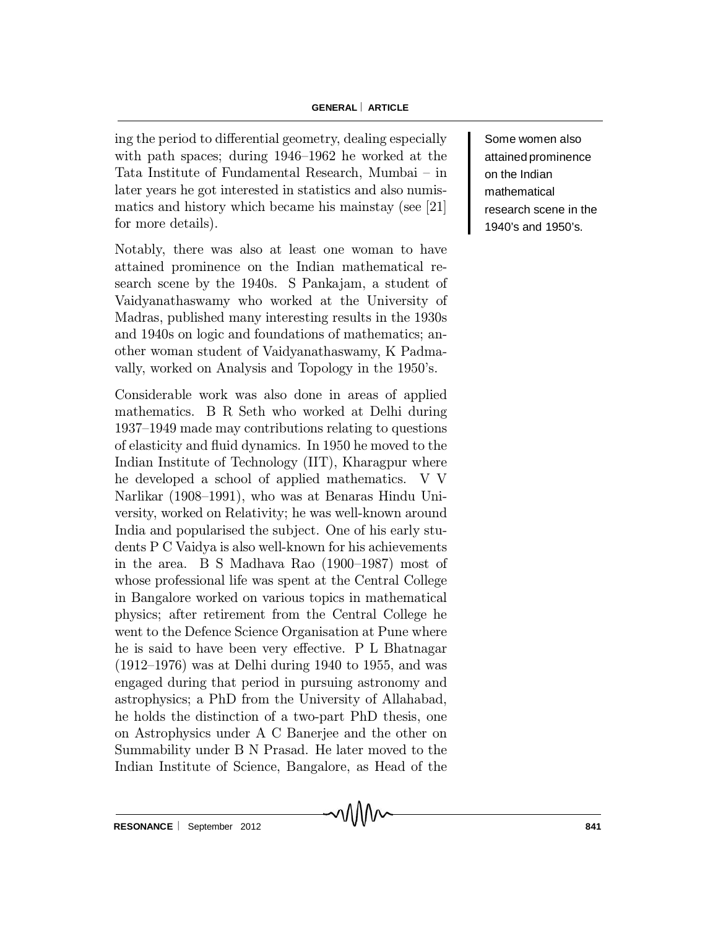ing the period to differential geometry, dealing especially with path spaces; during  $1946-1962$  he worked at the Tata Institute of Fundamental Research, Mumbai – in later years he got interested in statistics and also numismatics and history which became his mainstay (see [21] for more details).

Notably, there was also at least one woman to have attained prominence on the Indian mathematical research scene by the 1940s. S Pankajam, a student of Vaidyanathaswamy who worked at the University of Madras, published many interesting results in the 1930s and 1940s on logic and foundations of mathematics; another woman student of Vaidyanathaswamy, K Padmavally, worked on Analysis and Topology in the 1950's.

Considerable work was also done in areas of applied mathematics. B R Seth who worked at Delhi during 1937–1949 made may contributions relating to questions of elasticity and fluid dynamics. In 1950 he moved to the Indian Institute of Technology (IIT), Kharagpur where he developed a school of applied mathematics. V V Narlikar (1908–1991), who was at Benaras Hindu University, worked on Relativity; he was well-known around India and popularised the subject. One of his early students P C Vaidya is also well-known for his achievements in the area. B S Madhava Rao  $(1900-1987)$  most of whose professional life was spent at the Central College in Bangalore worked on various topics in mathematical physics; after retirement from the Central College he went to the Defence Science Organisation at Pune where he is said to have been very effective. P L Bhatnagar  $(1912–1976)$  was at Delhi during 1940 to 1955, and was engaged during that period in pursuing astronomy and astrophysics; a PhD from the University of Allahabad, he holds the distinction of a two-part PhD thesis, one on Astrophysics under A C Banerjee and the other on Summability under B N Prasad. He later moved to the Indian Institute of Science, Bangalore, as Head of the

MM

Some women also attained prominence on the Indian mathematical research scene in the 1940's and 1950's.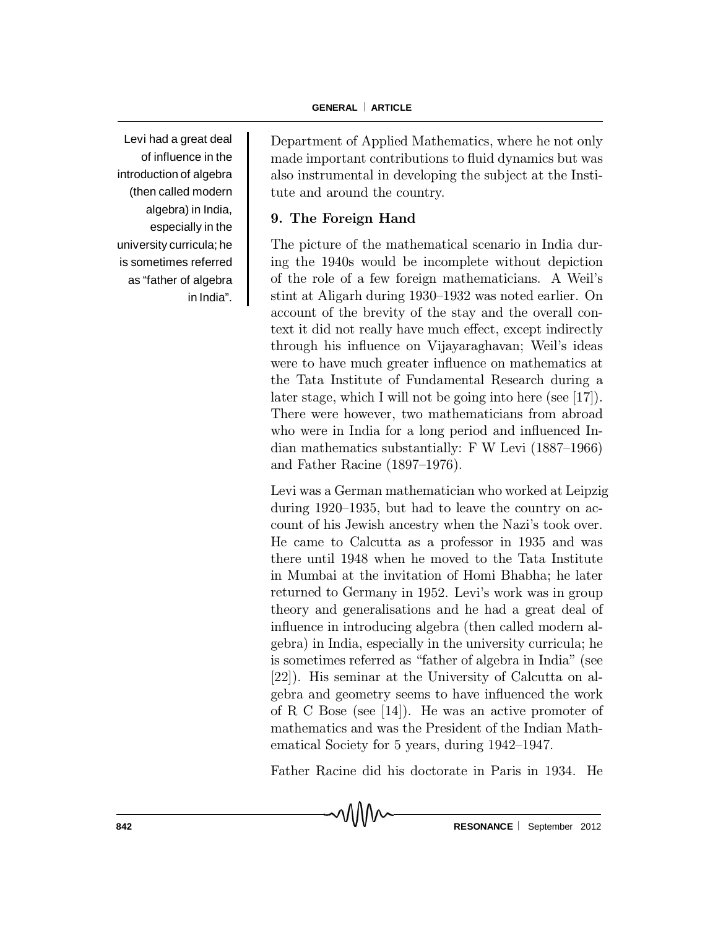Levi had a great deal of influence in the introduction of algebra (then called modern algebra) in India, especially in the university curricula; he is sometimes referred as "father of algebra in India".

Department of Applied Mathematics, where he not only made important contributions to fluid dynamics but was also instrumental in developing the subject at the Institute and around the country.

## 9. The Foreign Hand

The picture of the mathematical scenario in India during the 1940s would be incomplete without depiction of the role of a few foreign mathematicians. A Weil's stint at Aligarh during 1930–1932 was noted earlier. On account of the brevity of the stay and the overall context it did not really have much effect, except indirectly through his influence on Vijayaraghavan; Weil's ideas were to have much greater influence on mathematics at the Tata Institute of Fundamental Research during a later stage, which I will not be going into here (see [17]). There were however, two mathematicians from abroad who were in India for a long period and influenced Indian mathematics substantially: F W Levi  $(1887-1966)$ and Father Racine  $(1897-1976)$ .

Levi was a German mathematician who worked at Leipzig during  $1920-1935$ , but had to leave the country on account of his Jewish ancestry when the Nazi's took over. He came to Calcutta as a professor in 1935 and was there until 1948 when he moved to the Tata Institute in Mumbai at the invitation of Homi Bhabha; he later returned to Germany in 1952. Levi's work was in group theory and generalisations and he had a great deal of influence in introducing algebra (then called modern algebra) in India, especially in the university curricula; he is sometimes referred as \father of algebra in India" (see [22]). His seminar at the University of Calcutta on algebra and geometry seems to have influenced the work of R C Bose (see [14]). He was an active promoter of mathematics and was the President of the Indian Mathematical Society for  $5$  years, during  $1942-1947$ .

Father Racine did his doctorate in Paris in 1934. He

MMW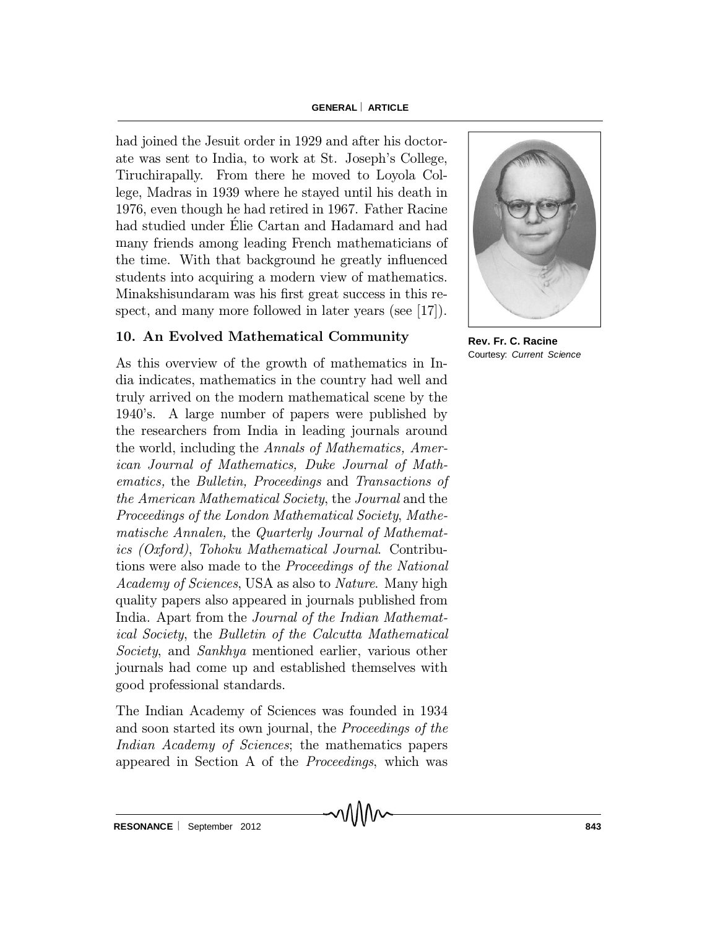had joined the Jesuit order in 1929 and after his doctorate was sent to India, to work at St. Joseph's College, Tiruchirapally. From there he moved to Loyola College, Madras in 1939 where he stayed until his death in 1976, even though he had retired in 1967. Father Racine had studied under Elie Cartan and Hadamard and had many friends among leading French mathematicians of the time. With that background he greatly influenced students into acquiring a modern view of mathematics. Minakshisundaram was his first great success in this respect, and many more followed in later years (see [17]).

## 10. An Evolved Mathematical Community

As this overview of the growth of mathematics in India indicates, mathematics in the country had well and truly arrived on the modern mathematical scene by the 1940's. A large number of papers were published by the researchers from India in leading journals around the world, including the Annals of Mathematics, American Journal of Mathematics, Duke Journal of Mathematics, the Bulletin, Proceedings and Transactions of the American Mathematical Society, the Journal and the Proceedings of the London Mathematical Society, Mathematische Annalen, the Quarterly Journal of Mathematics (Oxford), Tohoku Mathematical Journal. Contributions were also made to the Proceedings of the National Academy of Sciences, USA as also to Nature. Many high quality papers also appeared in journals published from India. Apart from the Journal of the Indian Mathematical Society, the Bulletin of the Calcutta Mathematical Society, and Sankhya mentioned earlier, various other journals had come up and established themselves with good professional standards.

The Indian Academy of Sciences was founded in 1934 and soon started its own journal, the Proceedings of the Indian Academy of Sciences; the mathematics papers appeared in Section A of the Proceedings, which was



**Rev. Fr. C. Racine** Courtesy: *Current Science*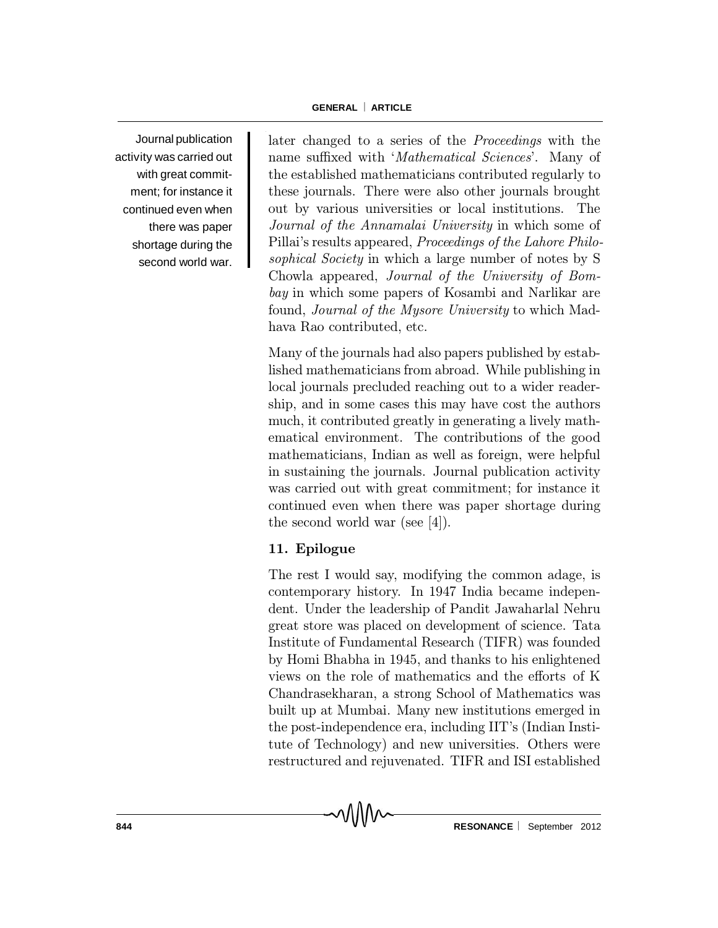Journal publication activity was carried out with great commitment; for instance it continued even when there was paper shortage during the second world war.

later changed to a series of the Proceedings with the name suffixed with '*Mathematical Sciences*'. Many of the established mathematicians contributed regularly to these journals. There were also other journals brought out by various universities or local institutions. The Journal of the Annamalai University in which some of Pillai's results appeared, Proceedings of the Lahore Philosophical Society in which a large number of notes by S Chowla appeared, Journal of the University of Bombay in which some papers of Kosambi and Narlikar are found, Journal of the Mysore University to which Madhava Rao contributed, etc.

Many of the journals had also papers published by established mathematicians from abroad. While publishing in local journals precluded reaching out to a wider readership, and in some cases this may have cost the authors much, it contributed greatly in generating a lively mathematical environment. The contributions of the good mathematicians, Indian as well as foreign, were helpful in sustaining the journals. Journal publication activity was carried out with great commitment; for instance it continued even when there was paper shortage during the second world war (see [4]).

## 11. Epilogue

The rest I would say, modifying the common adage, is contemporary history. In 1947 India became independent. Under the leadership of Pandit Jawaharlal Nehru great store was placed on development of science. Tata Institute of Fundamental Research (TIFR) was founded by Homi Bhabha in 1945, and thanks to his enlightened views on the role of mathematics and the efforts of K Chandrasekharan, a strong School of Mathematics was built up at Mumbai. Many new institutions emerged in the post-independence era, including IIT's (Indian Institute of Technology) and new universities. Others were restructured and rejuvenated. TIFR and ISI established

MM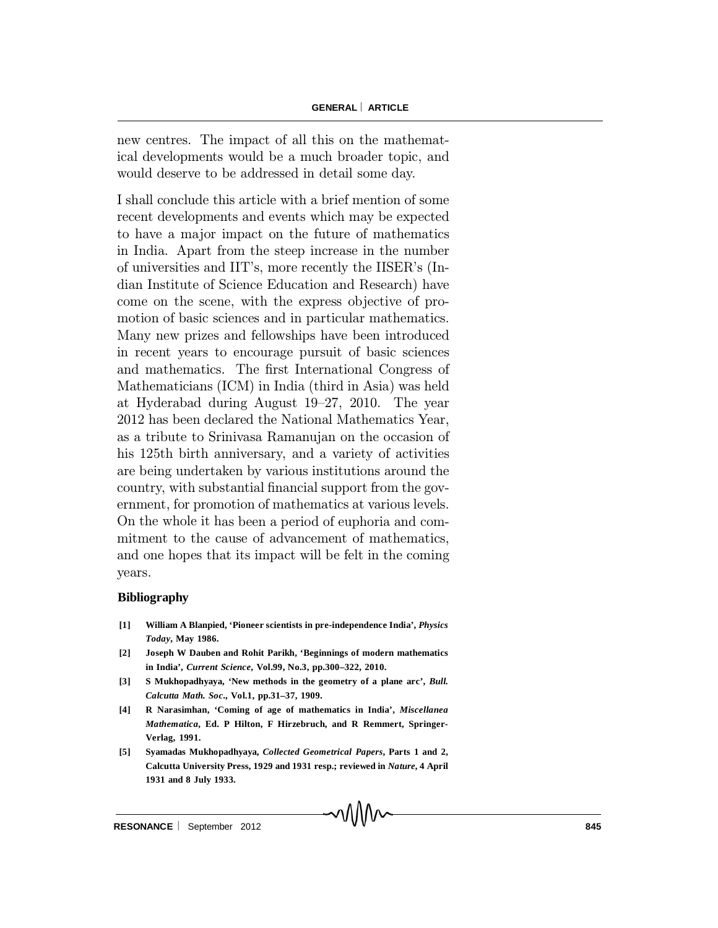new centres. The impact of all this on the mathematical developments would be a much broader topic, and would deserve to be addressed in detail some day.

I shall conclude this article with a brief mention of some recent developments and events which may be expected to have a major impact on the future of mathematics in India. Apart from the steep increase in the number of universities and IIT's, more recently the IISER's (Indian Institute of Science Education and Research) have come on the scene, with the express objective of promotion of basic sciences and in particular mathematics. Many new prizes and fellowships have been introduced in recent years to encourage pursuit of basic sciences and mathematics. The first International Congress of Mathematicians (ICM) in India (third in Asia) was held at Hyderabad during August  $19-27$ , 2010. The year 2012 has been declared the National Mathematics Year, as a tribute to Srinivasa Ramanujan on the occasion of his 125th birth anniversary, and a variety of activities are being undertaken by various institutions around the country, with substantial financial support from the government, for promotion of mathematics at various levels. On the whole it has been a period of euphoria and commitment to the cause of advancement of mathematics, and one hopes that its impact will be felt in the coming years.

#### **Bibliography**

- **[1] William A Blanpied, 'Pioneer scientists in pre-independence India',** *Physics Today***, May 1986.**
- **[2] Joseph W Dauben and Rohit Parikh, 'Beginnings of modern mathematics in India',** *Current Science***, Vol.99, No.3, pp.300–322, 2010.**
- **[3] S Mukhopadhyaya, 'New methods in the geometry of a plane arc',** *Bull. Calcutta Math. Soc***., Vol.1, pp.31–37, 1909.**
- **[4] R Narasimhan, 'Coming of age of mathematics in India',** *Miscellanea Mathematica***, Ed. P Hilton, F Hirzebruch, and R Remmert, Springer-Verlag, 1991.**
- **[5] Syamadas Mukhopadhyaya,** *Collected Geometrical Papers***, Parts 1 and 2, Calcutta University Press, 1929 and 1931 resp.; reviewed in** *Nature,* **4 April 1931 and 8 July 1933.**